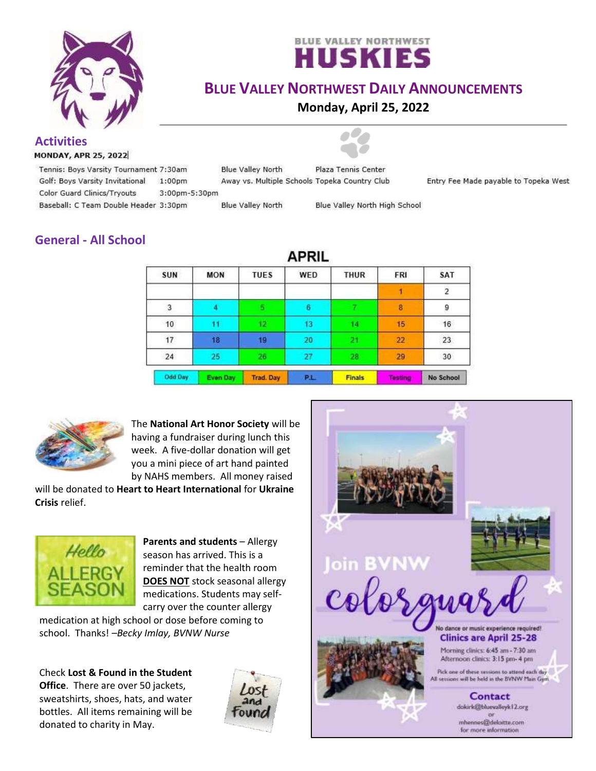



## **BLUE VALLEY NORTHWEST DAILY ANNOUNCEMENTS**

**Monday, April 25, 2022**

**Activities**

**MONDAY, APR 25, 2022** 

Tennis: Boys Varsity Tournament 7:30am Golf: Boys Varsity Invitational  $1:00<sub>pm</sub>$ Color Guard Clinics/Tryouts

Baseball: C Team Double Header 3:30pm

Away vs. Multiple Schools Topeka Country Club 3:00pm-5:30pm

**Blue Valley North** 

**Blue Valley North** 

Blue Valley North High School

Plaza Tennis Center

Entry Fee Made payable to Topeka West

# **General - All School**

| APRIL      |                 |                  |            |               |         |                |
|------------|-----------------|------------------|------------|---------------|---------|----------------|
| <b>SUN</b> | <b>MON</b>      | <b>TUES</b>      | <b>WED</b> | <b>THUR</b>   | FRI     | <b>SAT</b>     |
|            |                 |                  |            |               |         | $\overline{2}$ |
| 3          |                 |                  | 6          |               | 8       | 9              |
| 10         | 11              | 12 <sup>°</sup>  | 13         | 14            | 15      | $16\,$         |
| 17         | 18              | 19               | 20         | 21.           | 22      | 23             |
| 24         | 25              | 26               | 27         | 28            | 29      | 30             |
| Odd Day    | <b>Even Day</b> | <b>Trad. Day</b> | P.L.       | <b>Finals</b> | Testing | No School      |



The **National Art Honor Society** will be having a fundraiser during lunch this week. A five-dollar donation will get you a mini piece of art hand painted by NAHS members. All money raised

will be donated to **Heart to Heart International** for **Ukraine Crisis** relief.



**Parents and students** – Allergy season has arrived. This is a reminder that the health room **DOES NOT** stock seasonal allergy medications. Students may selfcarry over the counter allergy

medication at high school or dose before coming to school. Thanks! *–Becky Imlay, BVNW Nurse*

Check **Lost & Found in the Student Office**. There are over 50 jackets, sweatshirts, shoes, hats, and water bottles. All items remaining will be donated to charity in May.



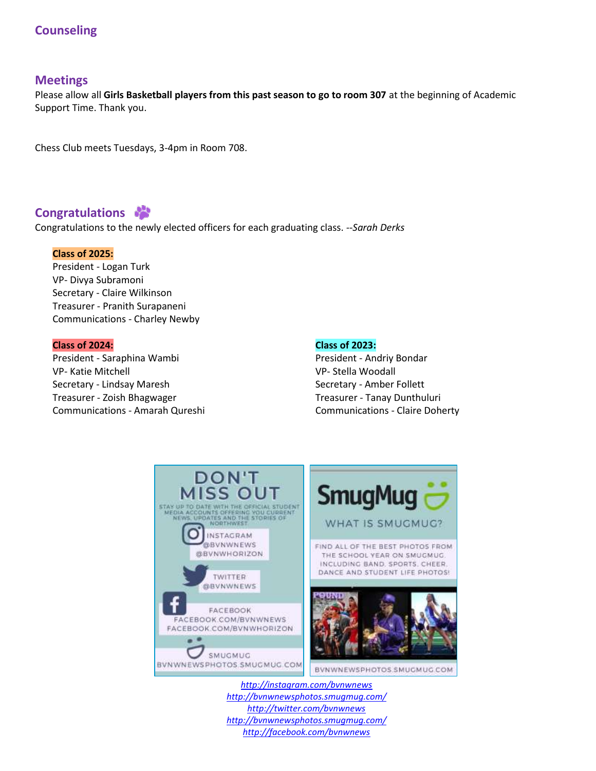## **Counseling**

### **Meetings**

Please allow all **Girls Basketball players from this past season to go to room 307** at the beginning of Academic Support Time. Thank you.

Chess Club meets Tuesdays, 3-4pm in Room 708.

### **Congratulations**

Congratulations to the newly elected officers for each graduating class. *--Sarah Derks*

### **Class of 2025:**

President - Logan Turk VP- Divya Subramoni Secretary - Claire Wilkinson Treasurer - Pranith Surapaneni Communications - Charley Newby

#### **Class of 2024:**

President - Saraphina Wambi VP- Katie Mitchell Secretary - Lindsay Maresh Treasurer - Zoish Bhagwager Communications - Amarah Qureshi

#### **Class of 2023:**

President - Andriy Bondar VP- Stella Woodall Secretary - Amber Follett Treasurer - Tanay Dunthuluri Communications - Claire Doherty



*<http://instagram.com/bvnwnews> <http://bvnwnewsphotos.smugmug.com/> <http://twitter.com/bvnwnews> <http://bvnwnewsphotos.smugmug.com/> <http://facebook.com/bvnwnews>*